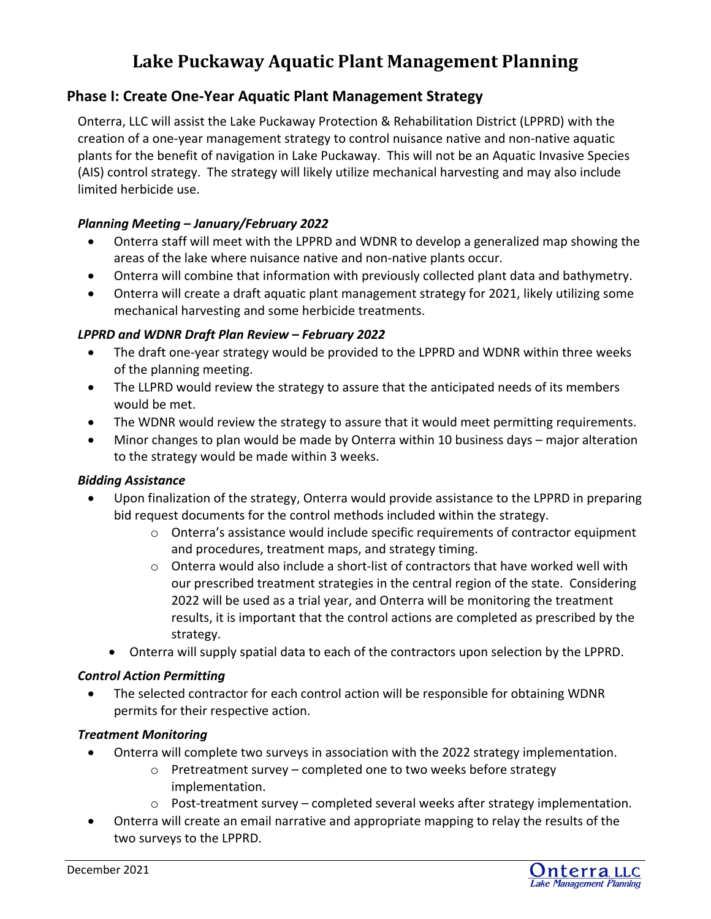# **Lake Puckaway Aquatic Plant Management Planning**

# **Phase I: Create One‐Year Aquatic Plant Management Strategy**

Onterra, LLC will assist the Lake Puckaway Protection & Rehabilitation District (LPPRD) with the creation of a one‐year management strategy to control nuisance native and non‐native aquatic plants for the benefit of navigation in Lake Puckaway. This will not be an Aquatic Invasive Species (AIS) control strategy. The strategy will likely utilize mechanical harvesting and may also include limited herbicide use.

#### *Planning Meeting – January/February 2022*

- Onterra staff will meet with the LPPRD and WDNR to develop a generalized map showing the areas of the lake where nuisance native and non‐native plants occur.
- Onterra will combine that information with previously collected plant data and bathymetry.
- Onterra will create a draft aquatic plant management strategy for 2021, likely utilizing some mechanical harvesting and some herbicide treatments.

#### *LPPRD and WDNR Draft Plan Review – February 2022*

- The draft one‐year strategy would be provided to the LPPRD and WDNR within three weeks of the planning meeting.
- The LLPRD would review the strategy to assure that the anticipated needs of its members would be met.
- The WDNR would review the strategy to assure that it would meet permitting requirements.
- Minor changes to plan would be made by Onterra within 10 business days major alteration to the strategy would be made within 3 weeks.

#### *Bidding Assistance*

- Upon finalization of the strategy, Onterra would provide assistance to the LPPRD in preparing bid request documents for the control methods included within the strategy.
	- o Onterra's assistance would include specific requirements of contractor equipment and procedures, treatment maps, and strategy timing.
	- $\circ$  Onterra would also include a short-list of contractors that have worked well with our prescribed treatment strategies in the central region of the state. Considering 2022 will be used as a trial year, and Onterra will be monitoring the treatment results, it is important that the control actions are completed as prescribed by the strategy.
	- Onterra will supply spatial data to each of the contractors upon selection by the LPPRD.

#### *Control Action Permitting*

 The selected contractor for each control action will be responsible for obtaining WDNR permits for their respective action.

#### *Treatment Monitoring*

- Onterra will complete two surveys in association with the 2022 strategy implementation.
	- o Pretreatment survey completed one to two weeks before strategy implementation.
	- o Post‐treatment survey completed several weeks after strategy implementation.
- Onterra will create an email narrative and appropriate mapping to relay the results of the two surveys to the LPPRD.

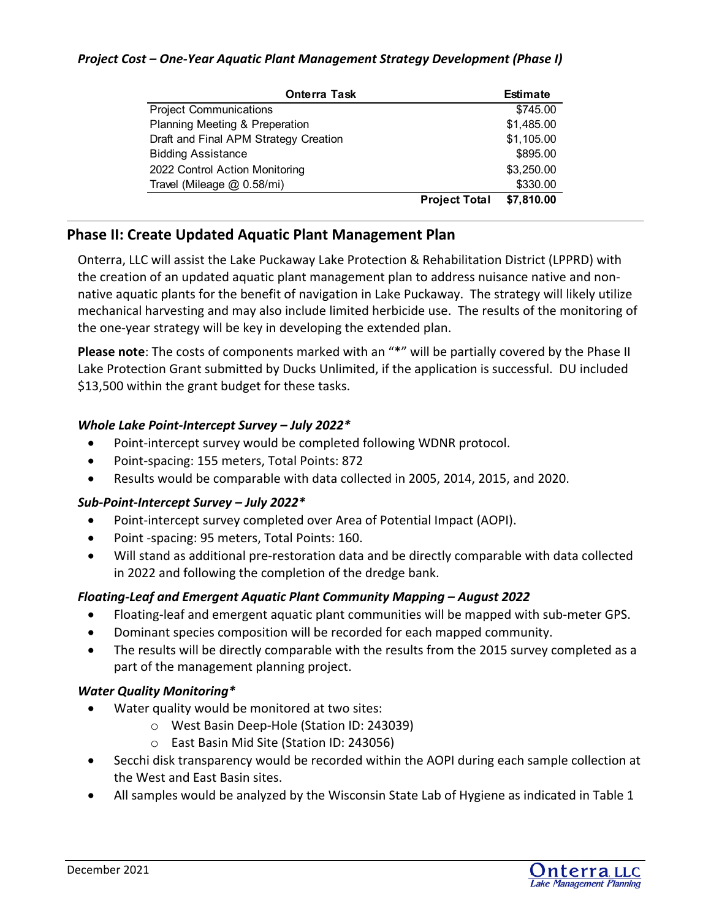#### *Project Cost – One‐Year Aquatic Plant Management Strategy Development (Phase I)*

| <b>Onterra Task</b>                   |                      | <b>Estimate</b> |
|---------------------------------------|----------------------|-----------------|
| <b>Project Communications</b>         |                      | \$745.00        |
| Planning Meeting & Preperation        |                      | \$1,485.00      |
| Draft and Final APM Strategy Creation |                      | \$1,105.00      |
| <b>Bidding Assistance</b>             |                      | \$895.00        |
| 2022 Control Action Monitoring        |                      | \$3,250.00      |
| Travel (Mileage @ 0.58/mi)            |                      | \$330.00        |
|                                       | <b>Project Total</b> | \$7,810.00      |

# **Phase II: Create Updated Aquatic Plant Management Plan**

Onterra, LLC will assist the Lake Puckaway Lake Protection & Rehabilitation District (LPPRD) with the creation of an updated aquatic plant management plan to address nuisance native and non‐ native aquatic plants for the benefit of navigation in Lake Puckaway. The strategy will likely utilize mechanical harvesting and may also include limited herbicide use. The results of the monitoring of the one‐year strategy will be key in developing the extended plan.

**Please note**: The costs of components marked with an "\*" will be partially covered by the Phase II Lake Protection Grant submitted by Ducks Unlimited, if the application is successful. DU included \$13,500 within the grant budget for these tasks.

#### *Whole Lake Point‐Intercept Survey – July 2022\**

- Point-intercept survey would be completed following WDNR protocol.
- Point-spacing: 155 meters, Total Points: 872
- Results would be comparable with data collected in 2005, 2014, 2015, and 2020.

## *Sub‐Point‐Intercept Survey – July 2022\**

- Point-intercept survey completed over Area of Potential Impact (AOPI).
- Point -spacing: 95 meters, Total Points: 160.
- Will stand as additional pre-restoration data and be directly comparable with data collected in 2022 and following the completion of the dredge bank.

## *Floating‐Leaf and Emergent Aquatic Plant Community Mapping – August 2022*

- Floating‐leaf and emergent aquatic plant communities will be mapped with sub‐meter GPS.
- Dominant species composition will be recorded for each mapped community.
- The results will be directly comparable with the results from the 2015 survey completed as a part of the management planning project.

#### *Water Quality Monitoring\**

- Water quality would be monitored at two sites:
	- o West Basin Deep‐Hole (Station ID: 243039)
		- o East Basin Mid Site (Station ID: 243056)
- Secchi disk transparency would be recorded within the AOPI during each sample collection at the West and East Basin sites.
- All samples would be analyzed by the Wisconsin State Lab of Hygiene as indicated in Table 1